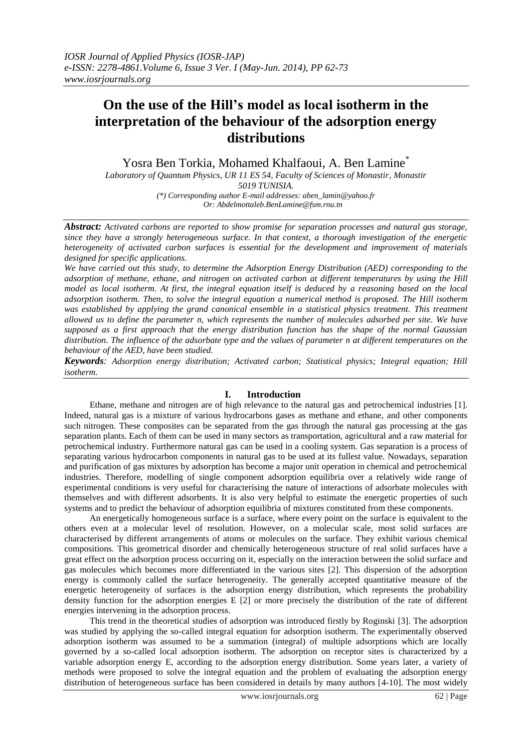# **On the use of the Hill's model as local isotherm in the interpretation of the behaviour of the adsorption energy distributions**

Yosra Ben Torkia, Mohamed Khalfaoui, A. Ben Lamine\*

*Laboratory of Quantum Physics, UR 11 ES 54, Faculty of Sciences of Monastir, Monastir 5019 TUNISIA. (\*) Corresponding author E-mail addresses: aben\_lamin@yahoo.fr Or: Abdelmottaleb.BenLamine@fsm.rnu.tn*

*Abstract: Activated carbons are reported to show promise for separation processes and natural gas storage, since they have a strongly heterogeneous surface. In that context, a thorough investigation of the energetic heterogeneity of activated carbon surfaces is essential for the development and improvement of materials designed for specific applications.*

*We have carried out this study, to determine the Adsorption Energy Distribution (AED) corresponding to the adsorption of methane, ethane, and nitrogen on activated carbon at different temperatures by using the Hill model as local isotherm. At first, the integral equation itself is deduced by a reasoning based on the local adsorption isotherm. Then, to solve the integral equation a numerical method is proposed. The Hill isotherm was established by applying the grand canonical ensemble in a statistical physics treatment. This treatment allowed us to define the parameter n, which represents the number of molecules adsorbed per site. We have supposed as a first approach that the energy distribution function has the shape of the normal Gaussian distribution. The influence of the adsorbate type and the values of parameter n at different temperatures on the behaviour of the AED, have been studied.* 

*Keywords: Adsorption energy distribution; Activated carbon; Statistical physics; Integral equation; Hill isotherm.*

# **I. Introduction**

Ethane, methane and nitrogen are of high relevance to the natural gas and petrochemical industries [1]. Indeed, natural gas is a mixture of various hydrocarbons gases as methane and ethane, and other components such nitrogen. These composites can be separated from the gas through the natural gas processing at the gas separation plants. Each of them can be used in many sectors as transportation, agricultural and a raw material for petrochemical industry. Furthermore natural gas can be used in a cooling system. Gas separation is a process of separating various hydrocarbon components in natural gas to be used at its fullest value. Nowadays, separation and purification of gas mixtures by adsorption has become a major unit operation in chemical and petrochemical industries. Therefore, modelling of single component adsorption equilibria over a relatively wide range of experimental conditions is very useful for characterising the nature of interactions of adsorbate molecules with themselves and with different adsorbents. It is also very helpful to estimate the energetic properties of such systems and to predict the behaviour of adsorption equilibria of mixtures constituted from these components.

An energetically homogeneous surface is a surface, where every point on the surface is equivalent to the others even at a molecular level of resolution. However, on a molecular scale, most solid surfaces are characterised by different arrangements of atoms or molecules on the surface. They exhibit various chemical compositions. This geometrical disorder and chemically heterogeneous structure of real solid surfaces have a great effect on the adsorption process occurring on it, especially on the interaction between the solid surface and gas molecules which becomes more differentiated in the various sites [2]. This dispersion of the adsorption energy is commonly called the surface heterogeneity. The generally accepted quantitative measure of the energetic heterogeneity of surfaces is the adsorption energy distribution, which represents the probability density function for the adsorption energies E [2] or more precisely the distribution of the rate of different energies intervening in the adsorption process.

This trend in the theoretical studies of adsorption was introduced firstly by Roginski [3]. The adsorption was studied by applying the so-called integral equation for adsorption isotherm. The experimentally observed adsorption isotherm was assumed to be a summation (integral) of multiple adsorptions which are locally governed by a so-called local adsorption isotherm. The adsorption on receptor sites is characterized by a variable adsorption energy E, according to the adsorption energy distribution. Some years later, a variety of methods were proposed to solve the integral equation and the problem of evaluating the adsorption energy distribution of heterogeneous surface has been considered in details by many authors [4-10]. The most widely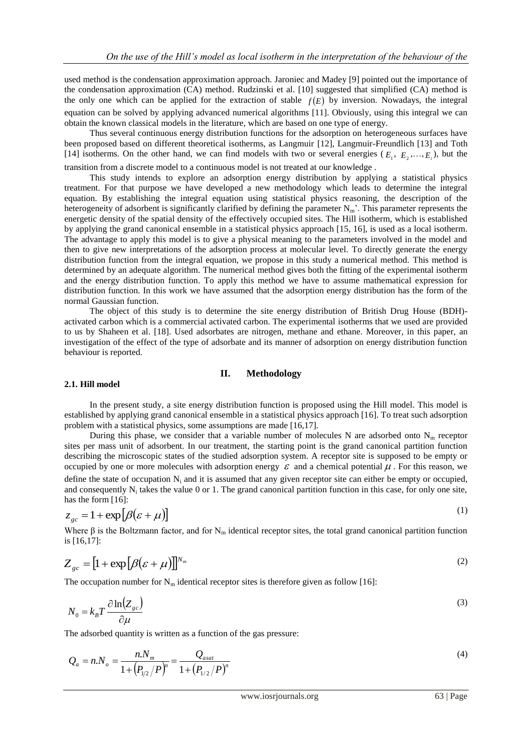used method is the condensation approximation approach. Jaroniec and Madey [9] pointed out the importance of the condensation approximation (CA) method. Rudzinski et al. [10] suggested that simplified (CA) method is the only one which can be applied for the extraction of stable  $f(E)$  by inversion. Nowadays, the integral equation can be solved by applying advanced numerical algorithms [11]. Obviously, using this integral we can obtain the known classical models in the literature, which are based on one type of energy.

Thus several continuous energy distribution functions for the adsorption on heterogeneous surfaces have been proposed based on different theoretical isotherms, as Langmuir [12], Langmuir-Freundlich [13] and Toth [14] isotherms. On the other hand, we can find models with two or several energies ( $E_1, E_2, \ldots, E_i$ ), but the transition from a discrete model to a continuous model is not treated at our knowledge .

This study intends to explore an adsorption energy distribution by applying a statistical physics treatment. For that purpose we have developed a new methodology which leads to determine the integral equation. By establishing the integral equation using statistical physics reasoning, the description of the heterogeneity of adsorbent is significantly clarified by defining the parameter  $N_m$ . This parameter represents the energetic density of the spatial density of the effectively occupied sites. The Hill isotherm, which is established by applying the grand canonical ensemble in a statistical physics approach [15, 16], is used as a local isotherm. The advantage to apply this model is to give a physical meaning to the parameters involved in the model and then to give new interpretations of the adsorption process at molecular level. To directly generate the energy distribution function from the integral equation, we propose in this study a numerical method. This method is determined by an adequate algorithm. The numerical method gives both the fitting of the experimental isotherm and the energy distribution function. To apply this method we have to assume mathematical expression for distribution function. In this work we have assumed that the adsorption energy distribution has the form of the normal Gaussian function.

The object of this study is to determine the site energy distribution of British Drug House (BDH) activated carbon which is a commercial activated carbon. The experimental isotherms that we used are provided to us by Shaheen et al. [18]. Used adsorbates are nitrogen, methane and ethane. Moreover, in this paper, an investigation of the effect of the type of adsorbate and its manner of adsorption on energy distribution function behaviour is reported.

## **II. Methodology**

## **2.1. Hill model**

In the present study, a site energy distribution function is proposed using the Hill model. This model is established by applying grand canonical ensemble in a statistical physics approach [16]. To treat such adsorption problem with a statistical physics, some assumptions are made [16,17].

During this phase, we consider that a variable number of molecules N are adsorbed onto  $N<sub>m</sub>$  receptor sites per mass unit of adsorbent. In our treatment, the starting point is the grand canonical partition function describing the microscopic states of the studied adsorption system. A receptor site is supposed to be empty or occupied by one or more molecules with adsorption energy  $\varepsilon$  and a chemical potential  $\mu$ . For this reason, we define the state of occupation  $N_i$  and it is assumed that any given receptor site can either be empty or occupied, and consequently  $N_i$  takes the value 0 or 1. The grand canonical partition function in this case, for only one site, has the form [16]:

$$
z_{gc} = 1 + \exp[\beta(\varepsilon + \mu)]
$$
 (1)

Where  $\beta$  is the Boltzmann factor, and for N<sub>m</sub> identical receptor sites, the total grand canonical partition function is [16,17]:

$$
Z_{gc} = \left[1 + \exp\left[\beta(\varepsilon + \mu)\right]\right]^{N_m} \tag{2}
$$

The occupation number for  $N_m$  identical receptor sites is therefore given as follow [16]:

$$
N_0 = k_B T \frac{\partial \ln(Z_{gc})}{\partial \mu} \tag{3}
$$

The adsorbed quantity is written as a function of the gas pressure:

$$
Q_a = n.N_o = \frac{n.N_m}{1 + (P_{1/2}/P)^n} = \frac{Q_{asat}}{1 + (P_{1/2}/P)^n}
$$
\n(4)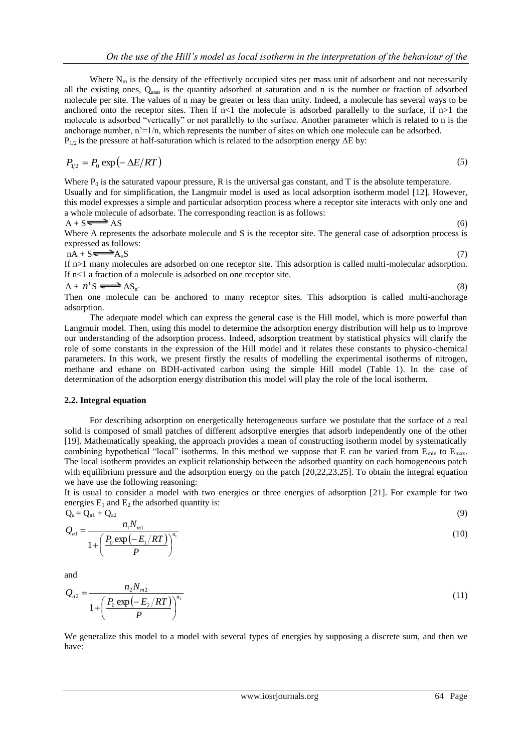Where  $N_m$  is the density of the effectively occupied sites per mass unit of adsorbent and not necessarily all the existing ones,  $Q_{\text{asat}}$  is the quantity adsorbed at saturation and n is the number or fraction of adsorbed molecule per site. The values of n may be greater or less than unity. Indeed, a molecule has several ways to be anchored onto the receptor sites. Then if  $n<1$  the molecule is adsorbed parallelly to the surface, if  $n>1$  the molecule is adsorbed "vertically" or not parallelly to the surface. Another parameter which is related to n is the anchorage number, n'=1/n, which represents the number of sites on which one molecule can be adsorbed.  $P_{1/2}$  is the pressure at half-saturation which is related to the adsorption energy  $\Delta E$  by:

$$
P_{1/2} = P_0 \exp(-\Delta E/RT)
$$

(5)

Where  $P_0$  is the saturated vapour pressure, R is the universal gas constant, and T is the absolute temperature. Usually and for simplification, the Langmuir model is used as local adsorption isotherm model [12]. However, this model expresses a simple and particular adsorption process where a receptor site interacts with only one and a whole molecule of adsorbate. The corresponding reaction is as follows:

$$
A + S \longrightarrow AS \tag{6}
$$

Where A represents the adsorbate molecule and S is the receptor site. The general case of adsorption process is expressed as follows:

 $nA + S \longrightarrow A_nS$  (7)

If n>1 many molecules are adsorbed on one receptor site. This adsorption is called multi-molecular adsorption. If n<1 a fraction of a molecule is adsorbed on one receptor site.

$$
A + n' S \rightleftharpoons AS_n
$$
 (8)

Then one molecule can be anchored to many receptor sites. This adsorption is called multi-anchorage adsorption.

The adequate model which can express the general case is the Hill model, which is more powerful than Langmuir model. Then, using this model to determine the adsorption energy distribution will help us to improve our understanding of the adsorption process. Indeed, adsorption treatment by statistical physics will clarify the role of some constants in the expression of the Hill model and it relates these constants to physico-chemical parameters. In this work, we present firstly the results of modelling the experimental isotherms of nitrogen, methane and ethane on BDH-activated carbon using the simple Hill model (Table 1). In the case of determination of the adsorption energy distribution this model will play the role of the local isotherm.

## **2.2. Integral equation**

For describing adsorption on energetically heterogeneous surface we postulate that the surface of a real solid is composed of small patches of different adsorptive energies that adsorb independently one of the other [19]. Mathematically speaking, the approach provides a mean of constructing isotherm model by systematically combining hypothetical "local" isotherms. In this method we suppose that E can be varied from  $E_{min}$  to  $E_{max}$ . The local isotherm provides an explicit relationship between the adsorbed quantity on each homogeneous patch with equilibrium pressure and the adsorption energy on the patch [20,22,23,25]. To obtain the integral equation we have use the following reasoning:

It is usual to consider a model with two energies or three energies of adsorption [21]. For example for two energies  $E_1$  and  $E_2$  the adsorbed quantity is:<br> $Q_1 = Q_{11} + Q_{22}$ 

$$
Q_{a} = Q_{a1} + Q_{a2}
$$
  
\n
$$
Q_{a1} = \frac{n_1 N_{m1}}{1 + \left(\frac{P_0 \exp(-E_1/RT)}{P}\right)^{n_1}}
$$
\n(10)

and

$$
Q_{a2} = \frac{n_2 N_{m2}}{1 + \left(\frac{P_0 \exp(-E_2/RT)}{P}\right)^{n_2}}
$$
(11)

We generalize this model to a model with several types of energies by supposing a discrete sum, and then we have: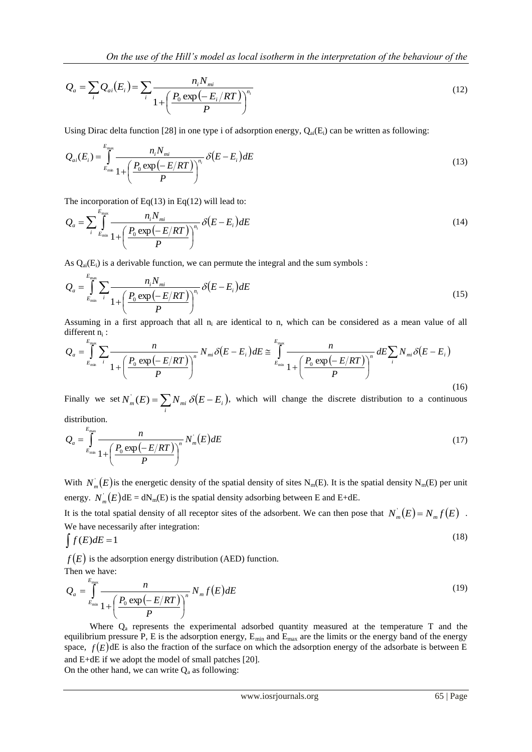$$
Q_a = \sum_i Q_{ai}(E_i) = \sum_i \frac{n_i N_{mi}}{1 + \left(\frac{P_0 \exp(-E_i/RT)}{P}\right)^{n_i}}
$$
(12)

Using Dirac delta function [28] in one type i of adsorption energy,  $Q_{ai}(E_i)$  can be written as following:

$$
Q_{ai}(E_i) = \int_{E_{min}}^{E_{max}} \frac{n_i N_{mi}}{1 + \left(\frac{P_0 \exp\left(-E/RT\right)}{P}\right)^{n_i}} \delta\left(E - E_i\right) dE
$$
\n(13)

The incorporation of Eq(13) in Eq(12) will lead to:

$$
Q_a = \sum_{i} \int_{E_{\min}}^{E_{\max}} \frac{n_i N_{mi}}{1 + \left(\frac{P_0 \exp\left(-E/RT\right)}{P}\right)^{n_i}} \delta\left(E - E_i\right) dE \tag{14}
$$

As  $Q_{ai}(E_i)$  is a derivable function, we can permute the integral and the sum symbols :

$$
Q_a = \int_{E_{\min}}^{E_{\max}} \sum_i \frac{n_i N_{mi}}{1 + \left(\frac{P_0 \exp(-E/RT)}{P}\right)^{n_i}} \delta(E - E_i) dE
$$
\n(15)

Assuming in a first approach that all  $n_i$  are identical to n, which can be considered as a mean value of all different n<sub>i</sub>:

$$
Q_{a} = \int_{E_{\min}}^{E_{\max}} \sum_{i} \frac{n}{1 + \left(\frac{P_{0} \exp\left(-E/RT\right)}{P}\right)^{n}} N_{mi} \delta\left(E - E_{i}\right) dE \cong \int_{E_{\min}}^{E_{\max}} \frac{n}{1 + \left(\frac{P_{0} \exp\left(-E/RT\right)}{P}\right)^{n}} dE \sum_{i} N_{mi} \delta\left(E - E_{i}\right)
$$
\n(16)

Finally we set  $N_m^{\dagger}(E) = \sum_i N_{mi} \delta(E - E_i)$ , which will change the discrete distribution to a continuous distribution.

$$
Q_a = \int_{E_{\min}}^{E_{\max}} \frac{n}{1 + \left(\frac{P_0 \exp\left(-E/RT\right)}{P}\right)^n} N_m(E) dE \tag{17}
$$

With  $N_m(E)$  is the energetic density of the spatial density of sites N<sub>m</sub>(E). It is the spatial density N<sub>m</sub>(E) per unit energy.  $N_m(E)$ dE = dN<sub>m</sub>(E) is the spatial density adsorbing between E and E+dE.

It is the total spatial density of all receptor sites of the adsorbent. We can then pose that  $N_m(E) = N_m f(E)$ . We have necessarily after integration:

$$
\int f(E)dE = 1\tag{18}
$$

 $f(E)$  is the adsorption energy distribution (AED) function.

Then we have:

$$
Q_a = \int_{E_{\min}}^{E_{\max}} \frac{n}{1 + \left(\frac{P_0 \exp(-E/RT)}{P}\right)^n} N_m f(E) dE
$$
\n(19)

Where  $Q<sub>a</sub>$  represents the experimental adsorbed quantity measured at the temperature T and the equilibrium pressure P, E is the adsorption energy,  $E_{min}$  and  $E_{max}$  are the limits or the energy band of the energy space,  $f(E)$ dE is also the fraction of the surface on which the adsorption energy of the adsorbate is between E and E+dE if we adopt the model of small patches [20]. On the other hand, we can write  $Q_a$  as following: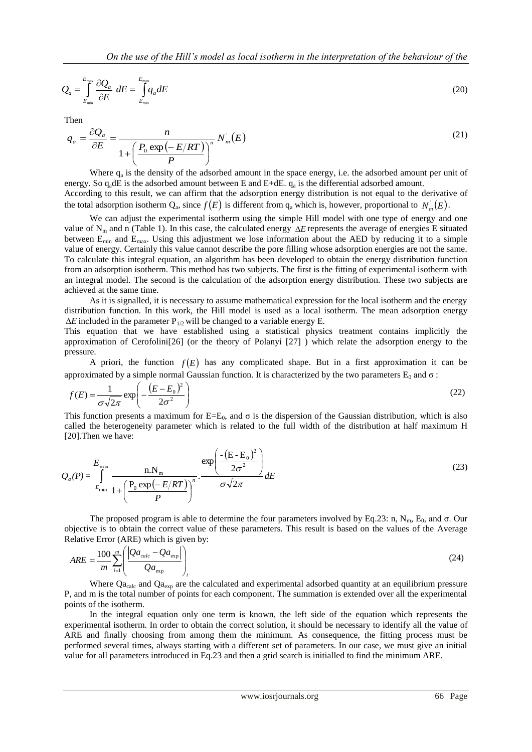$$
Q_a = \int_{E_{\text{min}}}^{E_{\text{max}}} \frac{\partial Q_a}{\partial E} dE = \int_{E_{\text{min}}}^{E_{\text{max}}} q_a dE
$$
 (20)

Then

$$
q_a = \frac{\partial Q_a}{\partial E} = \frac{n}{1 + \left(\frac{P_0 \exp(-E/RT)}{P}\right)^n} N_m(E)
$$
\n(21)

Where  $q_a$  is the density of the adsorbed amount in the space energy, i.e. the adsorbed amount per unit of energy. So  $q_a dE$  is the adsorbed amount between E and E+dE.  $q_a$  is the differential adsorbed amount. According to this result, we can affirm that the adsorption energy distribution is not equal to the derivative of the total adsorption isotherm  $Q_a$ , since  $f(E)$  is different from  $q_a$  which is, however, proportional to  $N_m(E)$ .

We can adjust the experimental isotherm using the simple Hill model with one type of energy and one value of  $N_m$  and n (Table 1). In this case, the calculated energy  $\Delta E$  represents the average of energies E situated between  $E_{min}$  and  $E_{max}$ . Using this adjustment we lose information about the AED by reducing it to a simple value of energy. Certainly this value cannot describe the pore filling whose adsorption energies are not the same. To calculate this integral equation, an algorithm has been developed to obtain the energy distribution function from an adsorption isotherm. This method has two subjects. The first is the fitting of experimental isotherm with an integral model. The second is the calculation of the adsorption energy distribution. These two subjects are achieved at the same time.

As it is signalled, it is necessary to assume mathematical expression for the local isotherm and the energy distribution function. In this work, the Hill model is used as a local isotherm. The mean adsorption energy  $\Delta E$  included in the parameter  $P_{1/2}$  will be changed to a variable energy E.

This equation that we have established using a statistical physics treatment contains implicitly the approximation of Cerofolini[26] (or the theory of Polanyi [27] ) which relate the adsorption energy to the pressure.

A priori, the function  $f(E)$  has any complicated shape. But in a first approximation it can be approximated by a simple normal Gaussian function. It is characterized by the two parameters  $E_0$  and  $\sigma$ :

$$
f(E) = \frac{1}{\sigma\sqrt{2\pi}} \exp\left(-\frac{(E - E_0)^2}{2\sigma^2}\right)
$$
 (22)

This function presents a maximum for  $E=E_0$ , and  $\sigma$  is the dispersion of the Gaussian distribution, which is also called the heterogeneity parameter which is related to the full width of the distribution at half maximum H [20]. Then we have:

$$
Q_a(P) = \int_{E_{\text{min}}}^{E_{\text{max}}} \frac{n.N_m}{1 + \left(\frac{P_0 \exp(-E/RT)}{P}\right)^n} \cdot \frac{\exp\left(\frac{-(E - E_0)^2}{2\sigma^2}\right)}{\sigma\sqrt{2\pi}} dE
$$
 (23)

The proposed program is able to determine the four parameters involved by Eq.23: n, N<sub>m</sub>, E<sub>0</sub>, and  $\sigma$ . Our objective is to obtain the correct value of these parameters. This result is based on the values of the Average Relative Error (ARE) which is given by:

$$
ARE = \frac{100}{m} \sum_{i=1}^{m} \left( \frac{\left| Qa_{calc} - Qa_{exp} \right|}{Qa_{exp}} \right)_{i} \tag{24}
$$

Where Qa<sub>calc</sub> and Qa<sub>exp</sub> are the calculated and experimental adsorbed quantity at an equilibrium pressure P, and m is the total number of points for each component. The summation is extended over all the experimental points of the isotherm.

In the integral equation only one term is known, the left side of the equation which represents the experimental isotherm. In order to obtain the correct solution, it should be necessary to identify all the value of ARE and finally choosing from among them the minimum. As consequence, the fitting process must be performed several times, always starting with a different set of parameters. In our case, we must give an initial value for all parameters introduced in Eq.23 and then a grid search is initialled to find the minimum ARE.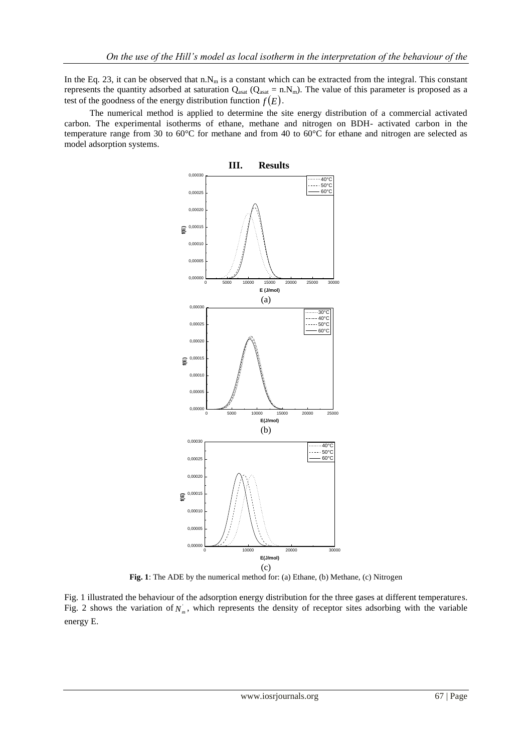In the Eq. 23, it can be observed that n.N<sub>m</sub> is a constant which can be extracted from the integral. This constant represents the quantity adsorbed at saturation  $Q_{\text{asat}} (Q_{\text{asat}} = n.N_m)$ . The value of this parameter is proposed as a test of the goodness of the energy distribution function  $f(E)$ .

The numerical method is applied to determine the site energy distribution of a commercial activated carbon. The experimental isotherms of ethane, methane and nitrogen on BDH- activated carbon in the temperature range from 30 to 60°C for methane and from 40 to 60°C for ethane and nitrogen are selected as model adsorption systems.



**Fig. 1**: The ADE by the numerical method for: (a) Ethane, (b) Methane, (c) Nitrogen

Fig. 1 illustrated the behaviour of the adsorption energy distribution for the three gases at different temperatures. Fig. 2 shows the variation of  $N_m$ , which represents the density of receptor sites adsorbing with the variable energy E.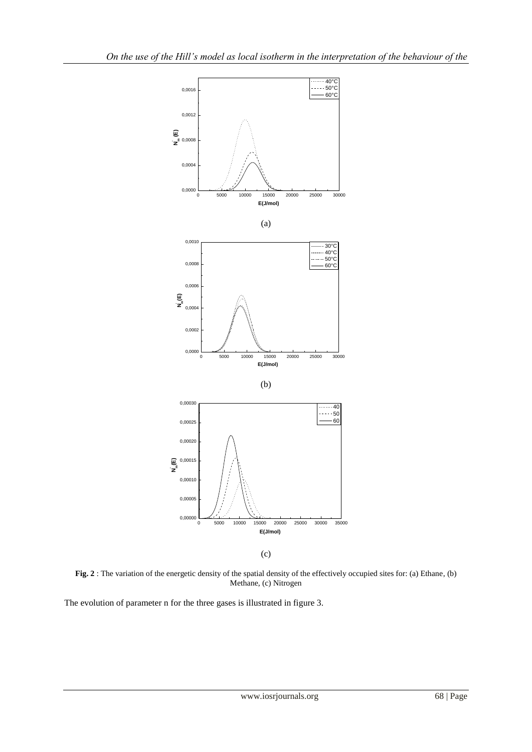

**Fig. 2** : The variation of the energetic density of the spatial density of the effectively occupied sites for: (a) Ethane, (b) Methane, (c) Nitrogen

The evolution of parameter n for the three gases is illustrated in figure 3.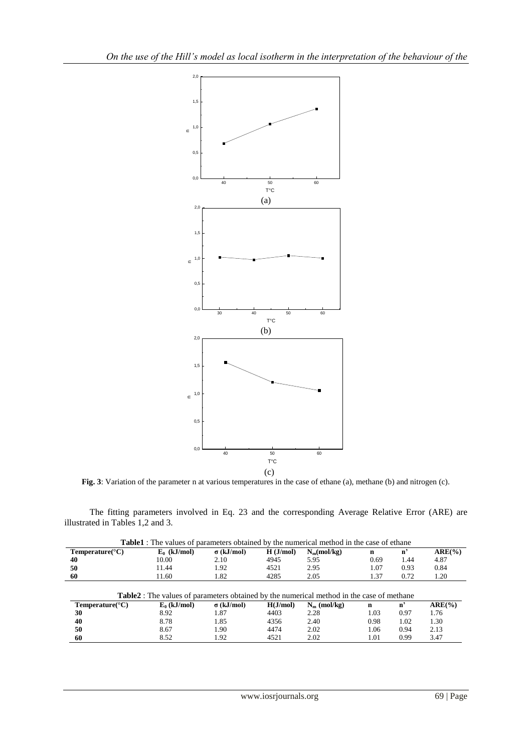

**Fig. 3**: Variation of the parameter n at various temperatures in the case of ethane (a), methane (b) and nitrogen (c).

The fitting parameters involved in Eq. 23 and the corresponding Average Relative Error (ARE) are illustrated in Tables 1,2 and 3.

|                              | <b>Table1</b> : The values of parameters obtained by the numerical method in the case of ethane  |                   |          |                |      |                |           |
|------------------------------|--------------------------------------------------------------------------------------------------|-------------------|----------|----------------|------|----------------|-----------|
| Temperature( ${}^{\circ}$ C) | $E_0$ (kJ/mol)                                                                                   | $\sigma$ (kJ/mol) | H(J/mol) | $N_m (mol/kg)$ | n    | n'             | $ARE(\%)$ |
| 40                           | 10.00                                                                                            | 2.10              | 4945     | 5.95           | 0.69 | 1.44           | 4.87      |
| 50                           | 11.44                                                                                            | 1.92              | 4521     | 2.95           | 1.07 | 0.93           | 0.84      |
| 60                           | 11.60                                                                                            | 1.82              | 4285     | 2.05           | 1.37 | 0.72           | 1.20      |
|                              |                                                                                                  |                   |          |                |      |                |           |
|                              | <b>Table2</b> : The values of parameters obtained by the numerical method in the case of methane |                   |          |                |      |                |           |
| Temperature( ${}^{\circ}$ C) | $E_0$ (kJ/mol)                                                                                   | $\sigma$ (kJ/mol) | H(J/mol) | $N_m$ (mol/kg) | n    | $\mathbf{n}^2$ | $ARE(\%)$ |
| 30                           | 8.92                                                                                             | 1.87              | 4403     | 2.28           | 1.03 | 0.97           | 1.76      |
| 40                           | 8.78                                                                                             | 1.85              | 4356     | 2.40           | 0.98 | 1.02           | 1.30      |
| 50                           | 8.67                                                                                             | 1.90              | 4474     | 2.02           | 1.06 | 0.94           | 2.13      |

| <b>Table1</b> : The values of parameters obtained by the numerical method in the case of ethane |  |
|-------------------------------------------------------------------------------------------------|--|
|-------------------------------------------------------------------------------------------------|--|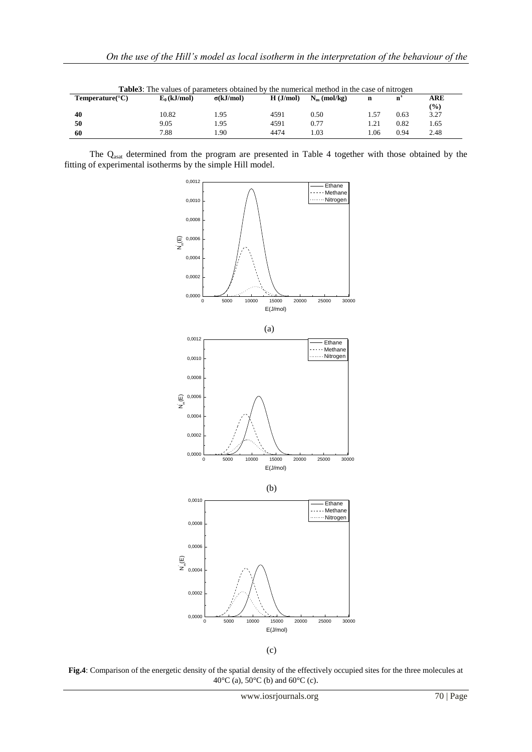| <b>Table3</b> : The values of parameters obtained by the numerical method in the case of nitrogen |                |                  |          |                |      |      |               |
|---------------------------------------------------------------------------------------------------|----------------|------------------|----------|----------------|------|------|---------------|
| Temperature( ${}^{\circ}$ C)                                                                      | $E_0$ (kJ/mol) | $\sigma(kJ/mol)$ | H(J/mol) | $N_m$ (mol/kg) |      |      | ARE           |
|                                                                                                   |                |                  |          |                |      |      | $\frac{9}{0}$ |
| 40                                                                                                | 10.82          | 1.95             | 4591     | 0.50           | 1.57 | 0.63 | 3.27          |
| 50                                                                                                | 9.05           | 1.95             | 4591     | 0.77           | 1.21 | 0.82 | 1.65          |
| 60                                                                                                | 7.88           | .90              | 4474     | 0.03           | .06  | 0.94 | 2.48          |

The Qasat determined from the program are presented in Table 4 together with those obtained by the fitting of experimental isotherms by the simple Hill model.



 <sup>(</sup>c)

**Fig.4**: Comparison of the energetic density of the spatial density of the effectively occupied sites for the three molecules at 40°C (a), 50°C (b) and 60°C (c).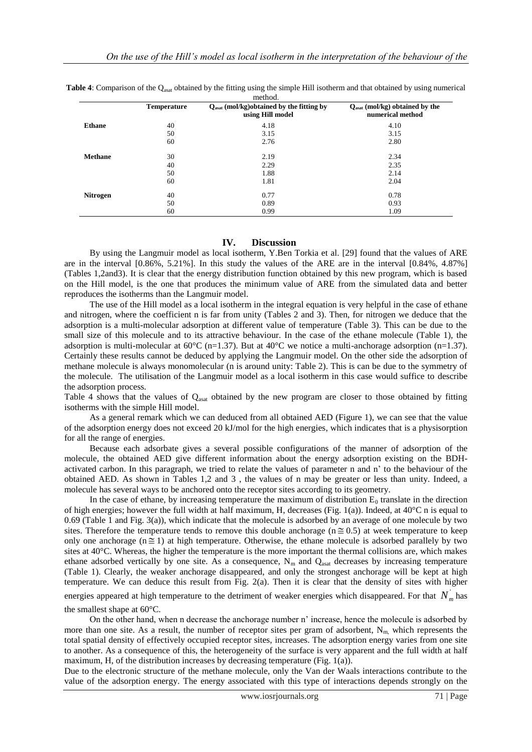|                 |                    | method.                                                                  |                                                                |
|-----------------|--------------------|--------------------------------------------------------------------------|----------------------------------------------------------------|
|                 | <b>Temperature</b> | $Q_{\text{asat}}$ (mol/kg)obtained by the fitting by<br>using Hill model | $Q_{\text{asat}}$ (mol/kg) obtained by the<br>numerical method |
| <b>Ethane</b>   | 40                 | 4.18                                                                     | 4.10                                                           |
|                 | 50                 | 3.15                                                                     | 3.15                                                           |
|                 | 60                 | 2.76                                                                     | 2.80                                                           |
| <b>Methane</b>  | 30                 | 2.19                                                                     | 2.34                                                           |
|                 | 40                 | 2.29                                                                     | 2.35                                                           |
|                 | 50                 | 1.88                                                                     | 2.14                                                           |
|                 | 60                 | 1.81                                                                     | 2.04                                                           |
| <b>Nitrogen</b> | 40                 | 0.77                                                                     | 0.78                                                           |
|                 | 50                 | 0.89                                                                     | 0.93                                                           |
|                 | 60                 | 0.99                                                                     | 1.09                                                           |

**Table 4**: Comparison of the Q<sub>asat</sub> obtained by the fitting using the simple Hill isotherm and that obtained by using numerical

## **IV. Discussion**

By using the Langmuir model as local isotherm, Y.Ben Torkia et al. [29] found that the values of ARE are in the interval [0.86%, 5.21%]. In this study the values of the ARE are in the interval [0.84%, 4.87%] (Tables 1,2and3). It is clear that the energy distribution function obtained by this new program, which is based on the Hill model, is the one that produces the minimum value of ARE from the simulated data and better reproduces the isotherms than the Langmuir model.

The use of the Hill model as a local isotherm in the integral equation is very helpful in the case of ethane and nitrogen, where the coefficient n is far from unity (Tables 2 and 3). Then, for nitrogen we deduce that the adsorption is a multi-molecular adsorption at different value of temperature (Table 3). This can be due to the small size of this molecule and to its attractive behaviour. In the case of the ethane molecule (Table 1), the adsorption is multi-molecular at  $60^{\circ}$ C (n=1.37). But at  $40^{\circ}$ C we notice a multi-anchorage adsorption (n=1.37). Certainly these results cannot be deduced by applying the Langmuir model. On the other side the adsorption of methane molecule is always monomolecular (n is around unity: Table 2). This is can be due to the symmetry of the molecule. The utilisation of the Langmuir model as a local isotherm in this case would suffice to describe the adsorption process.

Table 4 shows that the values of  $Q_{\text{asat}}$  obtained by the new program are closer to those obtained by fitting isotherms with the simple Hill model.

As a general remark which we can deduced from all obtained AED (Figure 1), we can see that the value of the adsorption energy does not exceed 20 kJ/mol for the high energies, which indicates that is a physisorption for all the range of energies.

Because each adsorbate gives a several possible configurations of the manner of adsorption of the molecule, the obtained AED give different information about the energy adsorption existing on the BDHactivated carbon. In this paragraph, we tried to relate the values of parameter n and n' to the behaviour of the obtained AED. As shown in Tables 1,2 and 3 , the values of n may be greater or less than unity. Indeed, a molecule has several ways to be anchored onto the receptor sites according to its geometry.

In the case of ethane, by increasing temperature the maximum of distribution  $E_0$  translate in the direction of high energies; however the full width at half maximum, H, decreases (Fig. 1(a)). Indeed, at  $40^{\circ}$ C n is equal to 0.69 (Table 1 and Fig. 3(a)), which indicate that the molecule is adsorbed by an average of one molecule by two sites. Therefore the temperature tends to remove this double anchorage ( $n \approx 0.5$ ) at week temperature to keep only one anchorage ( $n \ge 1$ ) at high temperature. Otherwise, the ethane molecule is adsorbed parallely by two sites at 40°C. Whereas, the higher the temperature is the more important the thermal collisions are, which makes ethane adsorbed vertically by one site. As a consequence,  $N_m$  and  $Q_{asat}$  decreases by increasing temperature (Table 1). Clearly, the weaker anchorage disappeared, and only the strongest anchorage will be kept at high temperature. We can deduce this result from Fig. 2(a). Then it is clear that the density of sites with higher

energies appeared at high temperature to the detriment of weaker energies which disappeared. For that  $N_m$  has the smallest shape at 60°C.

On the other hand, when n decrease the anchorage number n' increase, hence the molecule is adsorbed by more than one site. As a result, the number of receptor sites per gram of adsorbent,  $N<sub>m</sub>$ , which represents the total spatial density of effectively occupied receptor sites, increases. The adsorption energy varies from one site to another. As a consequence of this, the heterogeneity of the surface is very apparent and the full width at half maximum, H, of the distribution increases by decreasing temperature (Fig. 1(a)).

Due to the electronic structure of the methane molecule, only the Van der Waals interactions contribute to the value of the adsorption energy. The energy associated with this type of interactions depends strongly on the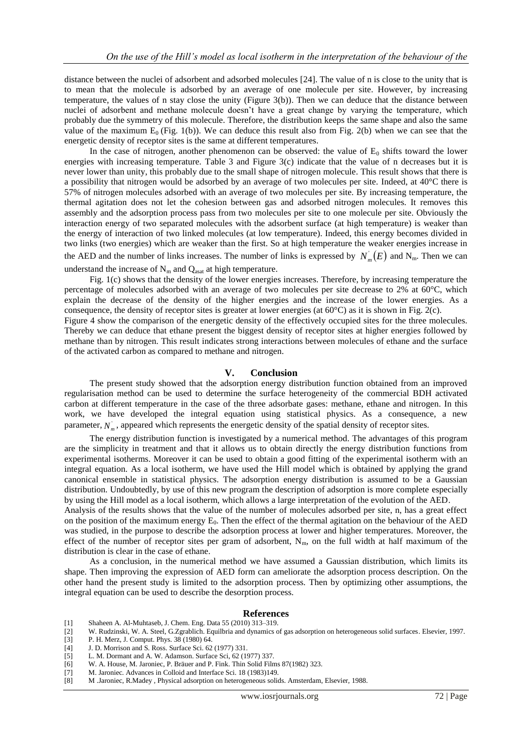distance between the nuclei of adsorbent and adsorbed molecules [24]. The value of n is close to the unity that is to mean that the molecule is adsorbed by an average of one molecule per site. However, by increasing temperature, the values of n stay close the unity (Figure 3(b)). Then we can deduce that the distance between nuclei of adsorbent and methane molecule doesn't have a great change by varying the temperature, which probably due the symmetry of this molecule. Therefore, the distribution keeps the same shape and also the same value of the maximum  $E_0$  (Fig. 1(b)). We can deduce this result also from Fig. 2(b) when we can see that the energetic density of receptor sites is the same at different temperatures.

In the case of nitrogen, another phenomenon can be observed: the value of  $E_0$  shifts toward the lower energies with increasing temperature. Table 3 and Figure 3(c) indicate that the value of n decreases but it is never lower than unity, this probably due to the small shape of nitrogen molecule. This result shows that there is a possibility that nitrogen would be adsorbed by an average of two molecules per site. Indeed, at  $40^{\circ}$ C there is 57% of nitrogen molecules adsorbed with an average of two molecules per site. By increasing temperature, the thermal agitation does not let the cohesion between gas and adsorbed nitrogen molecules. It removes this assembly and the adsorption process pass from two molecules per site to one molecule per site. Obviously the interaction energy of two separated molecules with the adsorbent surface (at high temperature) is weaker than the energy of interaction of two linked molecules (at low temperature). Indeed, this energy becomes divided in two links (two energies) which are weaker than the first. So at high temperature the weaker energies increase in the AED and the number of links increases. The number of links is expressed by  $N_m(E)$  and  $N_m$ . Then we can understand the increase of  $N_m$  and  $Q_{\text{asat}}$  at high temperature.

Fig. 1(c) shows that the density of the lower energies increases. Therefore, by increasing temperature the percentage of molecules adsorbed with an average of two molecules per site decrease to 2% at 60°C, which explain the decrease of the density of the higher energies and the increase of the lower energies. As a consequence, the density of receptor sites is greater at lower energies (at  $60^{\circ}$ C) as it is shown in Fig. 2(c).

Figure 4 show the comparison of the energetic density of the effectively occupied sites for the three molecules. Thereby we can deduce that ethane present the biggest density of receptor sites at higher energies followed by methane than by nitrogen. This result indicates strong interactions between molecules of ethane and the surface of the activated carbon as compared to methane and nitrogen.

#### **V. Conclusion**

The present study showed that the adsorption energy distribution function obtained from an improved regularisation method can be used to determine the surface heterogeneity of the commercial BDH activated carbon at different temperature in the case of the three adsorbate gases: methane, ethane and nitrogen. In this work, we have developed the integral equation using statistical physics. As a consequence, a new parameter,  $N_m$ , appeared which represents the energetic density of the spatial density of receptor sites.

The energy distribution function is investigated by a numerical method. The advantages of this program are the simplicity in treatment and that it allows us to obtain directly the energy distribution functions from experimental isotherms. Moreover it can be used to obtain a good fitting of the experimental isotherm with an integral equation. As a local isotherm, we have used the Hill model which is obtained by applying the grand canonical ensemble in statistical physics. The adsorption energy distribution is assumed to be a Gaussian distribution. Undoubtedly, by use of this new program the description of adsorption is more complete especially by using the Hill model as a local isotherm, which allows a large interpretation of the evolution of the AED.

Analysis of the results shows that the value of the number of molecules adsorbed per site, n, has a great effect on the position of the maximum energy  $E_0$ . Then the effect of the thermal agitation on the behaviour of the AED was studied, in the purpose to describe the adsorption process at lower and higher temperatures. Moreover, the effect of the number of receptor sites per gram of adsorbent,  $N<sub>m</sub>$ , on the full width at half maximum of the distribution is clear in the case of ethane.

As a conclusion, in the numerical method we have assumed a Gaussian distribution, which limits its shape. Then improving the expression of AED form can ameliorate the adsorption process description. On the other hand the present study is limited to the adsorption process. Then by optimizing other assumptions, the integral equation can be used to describe the desorption process.

#### **References**

- [1] Shaheen A. Al-Muhtaseb, J. Chem. Eng. Data 55 (2010) 313–319.
- [2] W. Rudzinski, W. A. Steel, G.Zgrablich. Equilbria and dynamics of gas adsorption on heterogeneous solid surfaces. Elsevier, 1997.
- [3] P. H. Merz, J. Comput. Phys. 38 (1980) 64.
- [4] J. D. Morrison and S. Ross. Surface Sci. 62 (1977) 331.
- [5] L. M. Dormant and A. W. Adamson. Surface Sci, 62 (1977) 337.
- [6] W. A. House, M. Jaroniec, P. Bräuer and P. Fink. Thin Solid Films 87(1982) 323.
- [7] M. Jaroniec. Advances in Colloid and Interface Sci. 18 (1983)149.
- [8] M .Jaroniec, R.Madey , Physical adsorption on heterogeneous solids. Amsterdam, Elsevier, 1988.